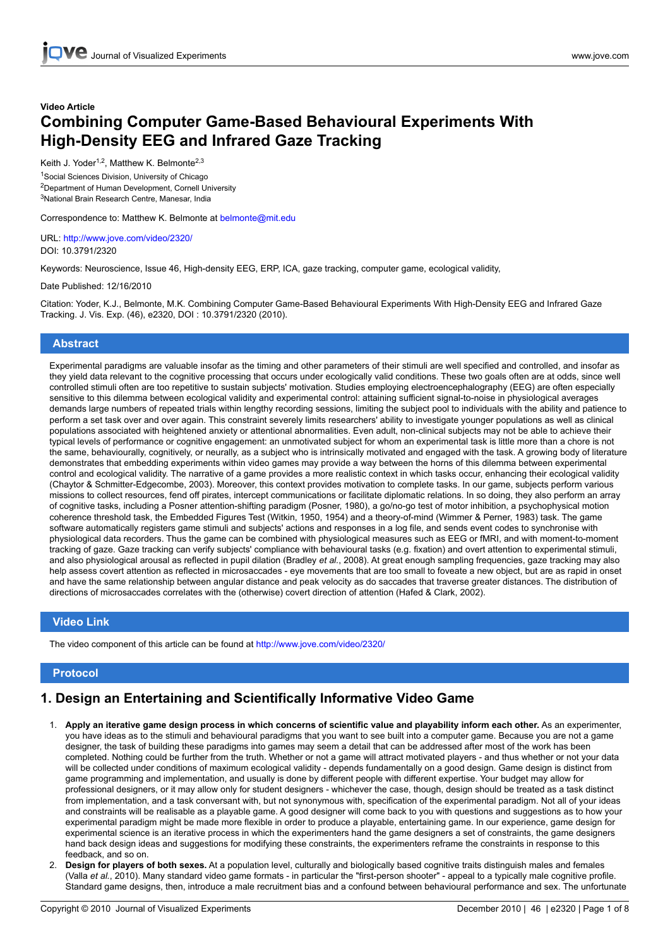# **Video Article Combining Computer Game-Based Behavioural Experiments With High-Density EEG and Infrared Gaze Tracking**

Keith J. Yoder<sup>1,2</sup>, Matthew K. Belmonte<sup>2,3</sup>

<sup>1</sup>Social Sciences Division, University of Chicago <sup>2</sup>Department of Human Development, Cornell University <sup>3</sup>National Brain Research Centre, Manesar, India

Correspondence to: Matthew K. Belmonte at belmonte@mit.edu

URL: <http://www.jove.com/video/2320/> DOI: 10.3791/2320

Keywords: Neuroscience, Issue 46, High-density EEG, ERP, ICA, gaze tracking, computer game, ecological validity,

Date Published: 12/16/2010

Citation: Yoder, K.J., Belmonte, M.K. Combining Computer Game-Based Behavioural Experiments With High-Density EEG and Infrared Gaze Tracking. J. Vis. Exp. (46), e2320, DOI : 10.3791/2320 (2010).

#### **Abstract**

Experimental paradigms are valuable insofar as the timing and other parameters of their stimuli are well specified and controlled, and insofar as they yield data relevant to the cognitive processing that occurs under ecologically valid conditions. These two goals often are at odds, since well controlled stimuli often are too repetitive to sustain subjects' motivation. Studies employing electroencephalography (EEG) are often especially sensitive to this dilemma between ecological validity and experimental control: attaining sufficient signal-to-noise in physiological averages demands large numbers of repeated trials within lengthy recording sessions, limiting the subject pool to individuals with the ability and patience to perform a set task over and over again. This constraint severely limits researchers' ability to investigate younger populations as well as clinical populations associated with heightened anxiety or attentional abnormalities. Even adult, non-clinical subjects may not be able to achieve their typical levels of performance or cognitive engagement: an unmotivated subject for whom an experimental task is little more than a chore is not the same, behaviourally, cognitively, or neurally, as a subject who is intrinsically motivated and engaged with the task. A growing body of literature demonstrates that embedding experiments within video games may provide a way between the horns of this dilemma between experimental control and ecological validity. The narrative of a game provides a more realistic context in which tasks occur, enhancing their ecological validity (Chaytor & Schmitter-Edgecombe, 2003). Moreover, this context provides motivation to complete tasks. In our game, subjects perform various missions to collect resources, fend off pirates, intercept communications or facilitate diplomatic relations. In so doing, they also perform an array of cognitive tasks, including a Posner attention-shifting paradigm (Posner, 1980), a go/no-go test of motor inhibition, a psychophysical motion coherence threshold task, the Embedded Figures Test (Witkin, 1950, 1954) and a theory-of-mind (Wimmer & Perner, 1983) task. The game software automatically registers game stimuli and subjects' actions and responses in a log file, and sends event codes to synchronise with physiological data recorders. Thus the game can be combined with physiological measures such as EEG or fMRI, and with moment-to-moment tracking of gaze. Gaze tracking can verify subjects' compliance with behavioural tasks (e.g. fixation) and overt attention to experimental stimuli, and also physiological arousal as reflected in pupil dilation (Bradley *et al.*, 2008). At great enough sampling frequencies, gaze tracking may also help assess covert attention as reflected in microsaccades - eye movements that are too small to foveate a new object, but are as rapid in onset and have the same relationship between angular distance and peak velocity as do saccades that traverse greater distances. The distribution of directions of microsaccades correlates with the (otherwise) covert direction of attention (Hafed & Clark, 2002).

#### **Video Link**

The video component of this article can be found at <http://www.jove.com/video/2320/>

#### **Protocol**

# **1. Design an Entertaining and Scientifically Informative Video Game**

- 1. **Apply an iterative game design process in which concerns of scientific value and playability inform each other.** As an experimenter, you have ideas as to the stimuli and behavioural paradigms that you want to see built into a computer game. Because you are not a game designer, the task of building these paradigms into games may seem a detail that can be addressed after most of the work has been completed. Nothing could be further from the truth. Whether or not a game will attract motivated players - and thus whether or not your data will be collected under conditions of maximum ecological validity - depends fundamentally on a good design. Game design is distinct from game programming and implementation, and usually is done by different people with different expertise. Your budget may allow for professional designers, or it may allow only for student designers - whichever the case, though, design should be treated as a task distinct from implementation, and a task conversant with, but not synonymous with, specification of the experimental paradigm. Not all of your ideas and constraints will be realisable as a playable game. A good designer will come back to you with questions and suggestions as to how your experimental paradigm might be made more flexible in order to produce a playable, entertaining game. In our experience, game design for experimental science is an iterative process in which the experimenters hand the game designers a set of constraints, the game designers hand back design ideas and suggestions for modifying these constraints, the experimenters reframe the constraints in response to this feedback, and so on.
- 2. **Design for players of both sexes.** At a population level, culturally and biologically based cognitive traits distinguish males and females (Valla *et al.*, 2010). Many standard video game formats - in particular the "first-person shooter" - appeal to a typically male cognitive profile. Standard game designs, then, introduce a male recruitment bias and a confound between behavioural performance and sex. The unfortunate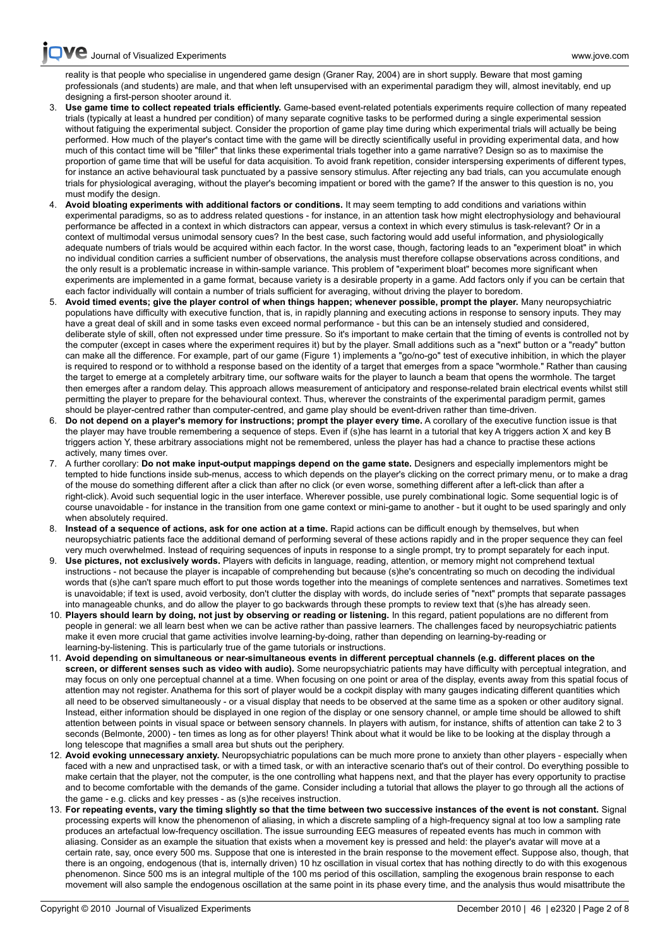**VC** [Journal of Visualized Experiments www.jove.com](http://www.jove.com)

[reality](http://www.jove.com) is that people who specialise in ungendered game design (Graner Ray, 2004) are in short supply. Beware that most gaming professionals (and students) are male, and that when left unsupervised with an experimental paradigm they will, almost inevitably, end up designing a first-person shooter around it.

- 3. **Use game time to collect repeated trials efficiently.** Game-based event-related potentials experiments require collection of many repeated trials (typically at least a hundred per condition) of many separate cognitive tasks to be performed during a single experimental session without fatiguing the experimental subject. Consider the proportion of game play time during which experimental trials will actually be being performed. How much of the player's contact time with the game will be directly scientifically useful in providing experimental data, and how much of this contact time will be "filler" that links these experimental trials together into a game narrative? Design so as to maximise the proportion of game time that will be useful for data acquisition. To avoid frank repetition, consider interspersing experiments of different types, for instance an active behavioural task punctuated by a passive sensory stimulus. After rejecting any bad trials, can you accumulate enough trials for physiological averaging, without the player's becoming impatient or bored with the game? If the answer to this question is no, you must modify the design.
- 4. **Avoid bloating experiments with additional factors or conditions.** It may seem tempting to add conditions and variations within experimental paradigms, so as to address related questions - for instance, in an attention task how might electrophysiology and behavioural performance be affected in a context in which distractors can appear, versus a context in which every stimulus is task-relevant? Or in a context of multimodal versus unimodal sensory cues? In the best case, such factoring would add useful information, and physiologically adequate numbers of trials would be acquired within each factor. In the worst case, though, factoring leads to an "experiment bloat" in which no individual condition carries a sufficient number of observations, the analysis must therefore collapse observations across conditions, and the only result is a problematic increase in within-sample variance. This problem of "experiment bloat" becomes more significant when experiments are implemented in a game format, because variety is a desirable property in a game. Add factors only if you can be certain that each factor individually will contain a number of trials sufficient for averaging, without driving the player to boredom.
- 5. **Avoid timed events; give the player control of when things happen; whenever possible, prompt the player.** Many neuropsychiatric populations have difficulty with executive function, that is, in rapidly planning and executing actions in response to sensory inputs. They may have a great deal of skill and in some tasks even exceed normal performance - but this can be an intensely studied and considered, deliberate style of skill, often not expressed under time pressure. So it's important to make certain that the timing of events is controlled not by the computer (except in cases where the experiment requires it) but by the player. Small additions such as a "next" button or a "ready" button can make all the difference. For example, part of our game (Figure 1) implements a "go/no-go" test of executive inhibition, in which the player is required to respond or to withhold a response based on the identity of a target that emerges from a space "wormhole." Rather than causing the target to emerge at a completely arbitrary time, our software waits for the player to launch a beam that opens the wormhole. The target then emerges after a random delay. This approach allows measurement of anticipatory and response-related brain electrical events whilst still permitting the player to prepare for the behavioural context. Thus, wherever the constraints of the experimental paradigm permit, games should be player-centred rather than computer-centred, and game play should be event-driven rather than time-driven.
- 6. **Do not depend on a player's memory for instructions; prompt the player every time.** A corollary of the executive function issue is that the player may have trouble remembering a sequence of steps. Even if (s)he has learnt in a tutorial that key A triggers action X and key B triggers action Y, these arbitrary associations might not be remembered, unless the player has had a chance to practise these actions actively, many times over.
- 7. A further corollary: **Do not make input-output mappings depend on the game state.** Designers and especially implementors might be tempted to hide functions inside sub-menus, access to which depends on the player's clicking on the correct primary menu, or to make a drag of the mouse do something different after a click than after no click (or even worse, something different after a left-click than after a right-click). Avoid such sequential logic in the user interface. Wherever possible, use purely combinational logic. Some sequential logic is of course unavoidable - for instance in the transition from one game context or mini-game to another - but it ought to be used sparingly and only when absolutely required.
- 8. **Instead of a sequence of actions, ask for one action at a time.** Rapid actions can be difficult enough by themselves, but when neuropsychiatric patients face the additional demand of performing several of these actions rapidly and in the proper sequence they can feel very much overwhelmed. Instead of requiring sequences of inputs in response to a single prompt, try to prompt separately for each input.
- 9. **Use pictures, not exclusively words.** Players with deficits in language, reading, attention, or memory might not comprehend textual instructions - not because the player is incapable of comprehending but because (s)he's concentrating so much on decoding the individual words that (s)he can't spare much effort to put those words together into the meanings of complete sentences and narratives. Sometimes text is unavoidable; if text is used, avoid verbosity, don't clutter the display with words, do include series of "next" prompts that separate passages into manageable chunks, and do allow the player to go backwards through these prompts to review text that (s)he has already seen.
- 10. **Players should learn by doing, not just by observing or reading or listening.** In this regard, patient populations are no different from people in general: we all learn best when we can be active rather than passive learners. The challenges faced by neuropsychiatric patients make it even more crucial that game activities involve learning-by-doing, rather than depending on learning-by-reading or learning-by-listening. This is particularly true of the game tutorials or instructions.
- 11. **Avoid depending on simultaneous or near-simultaneous events in different perceptual channels (e.g. different places on the screen, or different senses such as video with audio).** Some neuropsychiatric patients may have difficulty with perceptual integration, and may focus on only one perceptual channel at a time. When focusing on one point or area of the display, events away from this spatial focus of attention may not register. Anathema for this sort of player would be a cockpit display with many gauges indicating different quantities which all need to be observed simultaneously - or a visual display that needs to be observed at the same time as a spoken or other auditory signal. Instead, either information should be displayed in one region of the display or one sensory channel, or ample time should be allowed to shift attention between points in visual space or between sensory channels. In players with autism, for instance, shifts of attention can take 2 to 3 seconds (Belmonte, 2000) - ten times as long as for other players! Think about what it would be like to be looking at the display through a long telescope that magnifies a small area but shuts out the periphery.
- 12. **Avoid evoking unnecessary anxiety.** Neuropsychiatric populations can be much more prone to anxiety than other players especially when faced with a new and unpractised task, or with a timed task, or with an interactive scenario that's out of their control. Do everything possible to make certain that the player, not the computer, is the one controlling what happens next, and that the player has every opportunity to practise and to become comfortable with the demands of the game. Consider including a tutorial that allows the player to go through all the actions of the game - e.g. clicks and key presses - as (s)he receives instruction.
- 13. **For repeating events, vary the timing slightly so that the time between two successive instances of the event is not constant.** Signal processing experts will know the phenomenon of aliasing, in which a discrete sampling of a high-frequency signal at too low a sampling rate produces an artefactual low-frequency oscillation. The issue surrounding EEG measures of repeated events has much in common with aliasing. Consider as an example the situation that exists when a movement key is pressed and held: the player's avatar will move at a certain rate, say, once every 500 ms. Suppose that one is interested in the brain response to the movement effect. Suppose also, though, that there is an ongoing, endogenous (that is, internally driven) 10 hz oscillation in visual cortex that has nothing directly to do with this exogenous phenomenon. Since 500 ms is an integral multiple of the 100 ms period of this oscillation, sampling the exogenous brain response to each movement will also sample the endogenous oscillation at the same point in its phase every time, and the analysis thus would misattribute the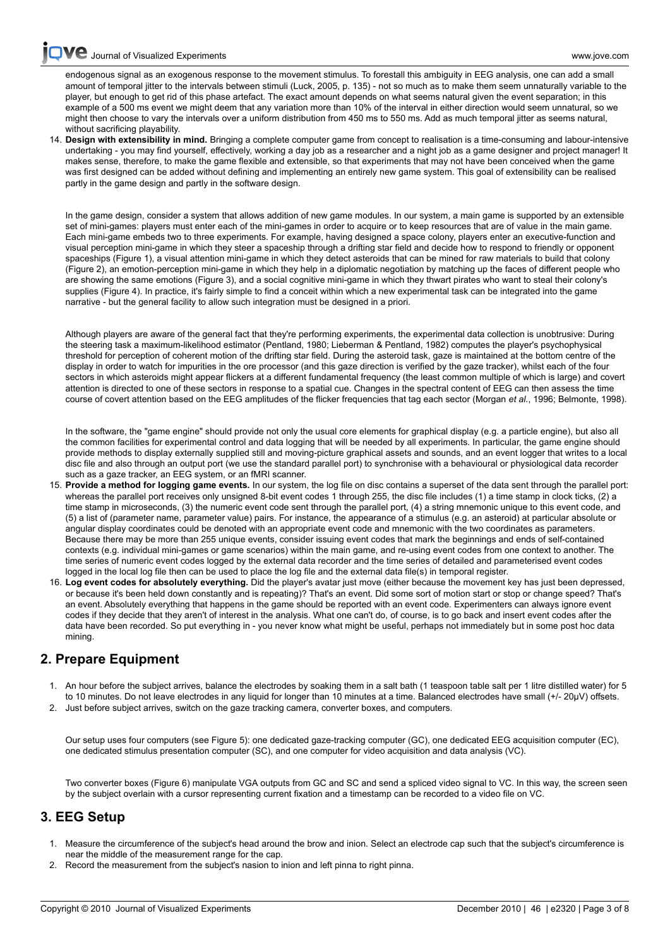[endog](http://www.jove.com)enous signal as an exogenous response to the movement stimulus. To forestall this ambiguity in EEG analysis, one can add a small amount of temporal jitter to the intervals between stimuli (Luck, 2005, p. 135) - not so much as to make them seem unnaturally variable to the player, but enough to get rid of this phase artefact. The exact amount depends on what seems natural given the event separation; in this example of a 500 ms event we might deem that any variation more than 10% of the interval in either direction would seem unnatural, so we might then choose to vary the intervals over a uniform distribution from 450 ms to 550 ms. Add as much temporal jitter as seems natural, without sacrificing playability.

14. **Design with extensibility in mind.** Bringing a complete computer game from concept to realisation is a time-consuming and labour-intensive undertaking - you may find yourself, effectively, working a day job as a researcher and a night job as a game designer and project manager! It makes sense, therefore, to make the game flexible and extensible, so that experiments that may not have been conceived when the game was first designed can be added without defining and implementing an entirely new game system. This goal of extensibility can be realised partly in the game design and partly in the software design.

In the game design, consider a system that allows addition of new game modules. In our system, a main game is supported by an extensible set of mini-games: players must enter each of the mini-games in order to acquire or to keep resources that are of value in the main game. Each mini-game embeds two to three experiments. For example, having designed a space colony, players enter an executive-function and visual perception mini-game in which they steer a spaceship through a drifting star field and decide how to respond to friendly or opponent spaceships (Figure 1), a visual attention mini-game in which they detect asteroids that can be mined for raw materials to build that colony (Figure 2), an emotion-perception mini-game in which they help in a diplomatic negotiation by matching up the faces of different people who are showing the same emotions (Figure 3), and a social cognitive mini-game in which they thwart pirates who want to steal their colony's supplies (Figure 4). In practice, it's fairly simple to find a conceit within which a new experimental task can be integrated into the game narrative - but the general facility to allow such integration must be designed in a priori.

Although players are aware of the general fact that they're performing experiments, the experimental data collection is unobtrusive: During the steering task a maximum-likelihood estimator (Pentland, 1980; Lieberman & Pentland, 1982) computes the player's psychophysical threshold for perception of coherent motion of the drifting star field. During the asteroid task, gaze is maintained at the bottom centre of the display in order to watch for impurities in the ore processor (and this gaze direction is verified by the gaze tracker), whilst each of the four sectors in which asteroids might appear flickers at a different fundamental frequency (the least common multiple of which is large) and covert attention is directed to one of these sectors in response to a spatial cue. Changes in the spectral content of EEG can then assess the time course of covert attention based on the EEG amplitudes of the flicker frequencies that tag each sector (Morgan *et al.*, 1996; Belmonte, 1998).

In the software, the "game engine" should provide not only the usual core elements for graphical display (e.g. a particle engine), but also all the common facilities for experimental control and data logging that will be needed by all experiments. In particular, the game engine should provide methods to display externally supplied still and moving-picture graphical assets and sounds, and an event logger that writes to a local disc file and also through an output port (we use the standard parallel port) to synchronise with a behavioural or physiological data recorder such as a gaze tracker, an EEG system, or an fMRI scanner.

- 15. **Provide a method for logging game events.** In our system, the log file on disc contains a superset of the data sent through the parallel port: whereas the parallel port receives only unsigned 8-bit event codes 1 through 255, the disc file includes (1) a time stamp in clock ticks, (2) a time stamp in microseconds, (3) the numeric event code sent through the parallel port, (4) a string mnemonic unique to this event code, and (5) a list of (parameter name, parameter value) pairs. For instance, the appearance of a stimulus (e.g. an asteroid) at particular absolute or angular display coordinates could be denoted with an appropriate event code and mnemonic with the two coordinates as parameters. Because there may be more than 255 unique events, consider issuing event codes that mark the beginnings and ends of self-contained contexts (e.g. individual mini-games or game scenarios) within the main game, and re-using event codes from one context to another. The time series of numeric event codes logged by the external data recorder and the time series of detailed and parameterised event codes logged in the local log file then can be used to place the log file and the external data file(s) in temporal register.
- 16. **Log event codes for absolutely everything.** Did the player's avatar just move (either because the movement key has just been depressed, or because it's been held down constantly and is repeating)? That's an event. Did some sort of motion start or stop or change speed? That's an event. Absolutely everything that happens in the game should be reported with an event code. Experimenters can always ignore event codes if they decide that they aren't of interest in the analysis. What one can't do, of course, is to go back and insert event codes after the data have been recorded. So put everything in - you never know what might be useful, perhaps not immediately but in some post hoc data mining.

# **2. Prepare Equipment**

- 1. An hour before the subject arrives, balance the electrodes by soaking them in a salt bath (1 teaspoon table salt per 1 litre distilled water) for 5 to 10 minutes. Do not leave electrodes in any liquid for longer than 10 minutes at a time. Balanced electrodes have small (+/- 20μV) offsets.
- 2. Just before subject arrives, switch on the gaze tracking camera, converter boxes, and computers.

Our setup uses four computers (see Figure 5): one dedicated gaze-tracking computer (GC), one dedicated EEG acquisition computer (EC), one dedicated stimulus presentation computer (SC), and one computer for video acquisition and data analysis (VC).

Two converter boxes (Figure 6) manipulate VGA outputs from GC and SC and send a spliced video signal to VC. In this way, the screen seen by the subject overlain with a cursor representing current fixation and a timestamp can be recorded to a video file on VC.

#### **3. EEG Setup**

- 1. Measure the circumference of the subject's head around the brow and inion. Select an electrode cap such that the subject's circumference is near the middle of the measurement range for the cap.
- 2. Record the measurement from the subject's nasion to inion and left pinna to right pinna.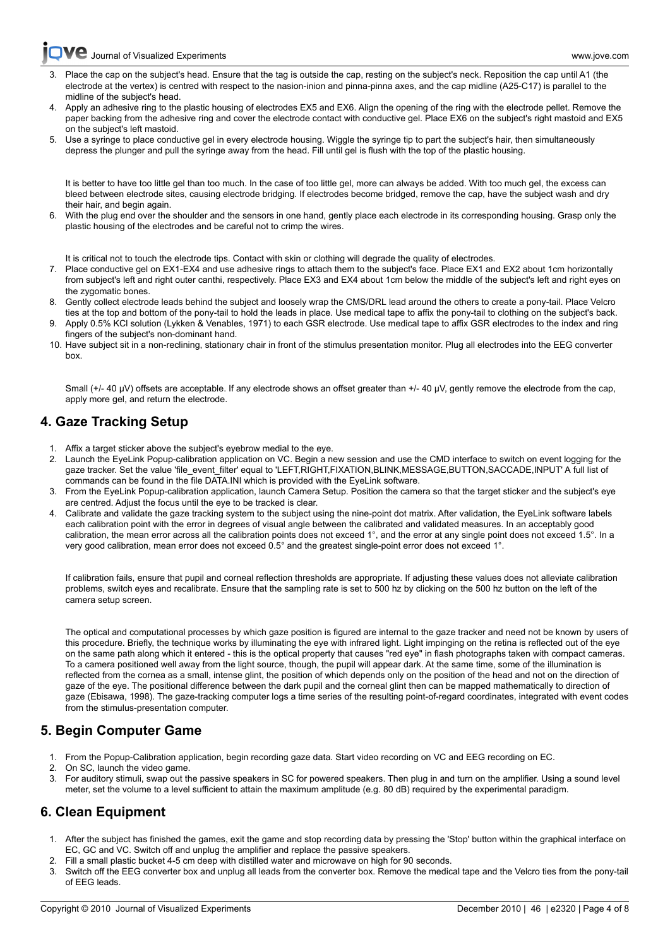**C** [Journal of Visualized Experiments www.jove.com](http://www.jove.com)

- Place the cap on the subject's head. Ensure that the tag is outside the cap, resting on the subject's neck. Reposition the cap until A1 (the electrode at the vertex) is centred with respect to the nasion-inion and pinna-pinna axes, and the cap midline (A25-C17) is parallel to the midline of the subject's head.
- 4. Apply an adhesive ring to the plastic housing of electrodes EX5 and EX6. Align the opening of the ring with the electrode pellet. Remove the paper backing from the adhesive ring and cover the electrode contact with conductive gel. Place EX6 on the subject's right mastoid and EX5 on the subject's left mastoid.
- 5. Use a syringe to place conductive gel in every electrode housing. Wiggle the syringe tip to part the subject's hair, then simultaneously depress the plunger and pull the syringe away from the head. Fill until gel is flush with the top of the plastic housing.

It is better to have too little gel than too much. In the case of too little gel, more can always be added. With too much gel, the excess can bleed between electrode sites, causing electrode bridging. If electrodes become bridged, remove the cap, have the subject wash and dry their hair, and begin again.

6. With the plug end over the shoulder and the sensors in one hand, gently place each electrode in its corresponding housing. Grasp only the plastic housing of the electrodes and be careful not to crimp the wires.

It is critical not to touch the electrode tips. Contact with skin or clothing will degrade the quality of electrodes.

- 7. Place conductive gel on EX1-EX4 and use adhesive rings to attach them to the subject's face. Place EX1 and EX2 about 1cm horizontally from subject's left and right outer canthi, respectively. Place EX3 and EX4 about 1cm below the middle of the subject's left and right eyes on the zygomatic bones.
- 8. Gently collect electrode leads behind the subject and loosely wrap the CMS/DRL lead around the others to create a pony-tail. Place Velcro ties at the top and bottom of the pony-tail to hold the leads in place. Use medical tape to affix the pony-tail to clothing on the subject's back.
- 9. Apply 0.5% KCl solution (Lykken & Venables, 1971) to each GSR electrode. Use medical tape to affix GSR electrodes to the index and ring fingers of the subject's non-dominant hand.
- 10. Have subject sit in a non-reclining, stationary chair in front of the stimulus presentation monitor. Plug all electrodes into the EEG converter box.

Small (+/- 40 μV) offsets are acceptable. If any electrode shows an offset greater than +/- 40 μV, gently remove the electrode from the cap, apply more gel, and return the electrode.

# **4. Gaze Tracking Setup**

- 1. Affix a target sticker above the subject's eyebrow medial to the eye.
- 2. Launch the EyeLink Popup-calibration application on VC. Begin a new session and use the CMD interface to switch on event logging for the gaze tracker. Set the value 'file\_event\_filter' equal to 'LEFT,RIGHT,FIXATION,BLINK,MESSAGE,BUTTON,SACCADE,INPUT' A full list of commands can be found in the file DATA.INI which is provided with the EyeLink software.
- 3. From the EyeLink Popup-calibration application, launch Camera Setup. Position the camera so that the target sticker and the subject's eye are centred. Adjust the focus until the eye to be tracked is clear.
- 4. Calibrate and validate the gaze tracking system to the subject using the nine-point dot matrix. After validation, the EyeLink software labels each calibration point with the error in degrees of visual angle between the calibrated and validated measures. In an acceptably good calibration, the mean error across all the calibration points does not exceed 1°, and the error at any single point does not exceed 1.5°. In a very good calibration, mean error does not exceed 0.5° and the greatest single-point error does not exceed 1°.

If calibration fails, ensure that pupil and corneal reflection thresholds are appropriate. If adjusting these values does not alleviate calibration problems, switch eyes and recalibrate. Ensure that the sampling rate is set to 500 hz by clicking on the 500 hz button on the left of the camera setup screen.

The optical and computational processes by which gaze position is figured are internal to the gaze tracker and need not be known by users of this procedure. Briefly, the technique works by illuminating the eye with infrared light. Light impinging on the retina is reflected out of the eye on the same path along which it entered - this is the optical property that causes "red eye" in flash photographs taken with compact cameras. To a camera positioned well away from the light source, though, the pupil will appear dark. At the same time, some of the illumination is reflected from the cornea as a small, intense glint, the position of which depends only on the position of the head and not on the direction of gaze of the eye. The positional difference between the dark pupil and the corneal glint then can be mapped mathematically to direction of gaze (Ebisawa, 1998). The gaze-tracking computer logs a time series of the resulting point-of-regard coordinates, integrated with event codes from the stimulus-presentation computer.

# **5. Begin Computer Game**

- 1. From the Popup-Calibration application, begin recording gaze data. Start video recording on VC and EEG recording on EC.
- 2. On SC, launch the video game.
- 3. For auditory stimuli, swap out the passive speakers in SC for powered speakers. Then plug in and turn on the amplifier. Using a sound level meter, set the volume to a level sufficient to attain the maximum amplitude (e.g. 80 dB) required by the experimental paradigm.

# **6. Clean Equipment**

- 1. After the subject has finished the games, exit the game and stop recording data by pressing the 'Stop' button within the graphical interface on EC, GC and VC. Switch off and unplug the amplifier and replace the passive speakers.
- 2. Fill a small plastic bucket 4-5 cm deep with distilled water and microwave on high for 90 seconds.
- Switch off the EEG converter box and unplug all leads from the converter box. Remove the medical tape and the Velcro ties from the pony-tail of EEG leads.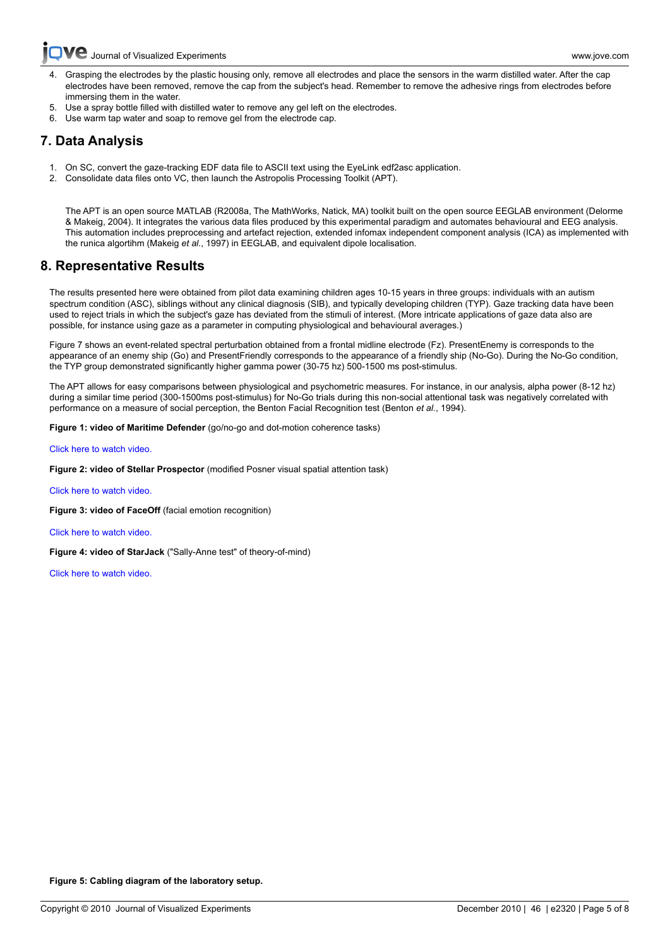- [4. Grasp](http://www.jove.com)ing the electrodes by the plastic housing only, remove all electrodes and place the sensors in the warm distilled water. After the cap electrodes have been removed, remove the cap from the subject's head. Remember to remove the adhesive rings from electrodes before immersing them in the water.
- 5. Use a spray bottle filled with distilled water to remove any gel left on the electrodes.
- 6. Use warm tap water and soap to remove gel from the electrode cap.

# **7. Data Analysis**

- 1. On SC, convert the gaze-tracking EDF data file to ASCII text using the EyeLink edf2asc application.
- 2. Consolidate data files onto VC, then launch the Astropolis Processing Toolkit (APT).

The APT is an open source MATLAB (R2008a, The MathWorks, Natick, MA) toolkit built on the open source EEGLAB environment (Delorme & Makeig, 2004). It integrates the various data files produced by this experimental paradigm and automates behavioural and EEG analysis. This automation includes preprocessing and artefact rejection, extended infomax independent component analysis (ICA) as implemented with the runica algortihm (Makeig *et al.*, 1997) in EEGLAB, and equivalent dipole localisation.

# **8. Representative Results**

The results presented here were obtained from pilot data examining children ages 10-15 years in three groups: individuals with an autism spectrum condition (ASC), siblings without any clinical diagnosis (SIB), and typically developing children (TYP). Gaze tracking data have been used to reject trials in which the subject's gaze has deviated from the stimuli of interest. (More intricate applications of gaze data also are possible, for instance using gaze as a parameter in computing physiological and behavioural averages.)

Figure 7 shows an event-related spectral perturbation obtained from a frontal midline electrode (Fz). PresentEnemy is corresponds to the appearance of an enemy ship (Go) and PresentFriendly corresponds to the appearance of a friendly ship (No-Go). During the No-Go condition, the TYP group demonstrated significantly higher gamma power (30-75 hz) 500-1500 ms post-stimulus.

The APT allows for easy comparisons between physiological and psychometric measures. For instance, in our analysis, alpha power (8-12 hz) during a similar time period (300-1500ms post-stimulus) for No-Go trials during this non-social attentional task was negatively correlated with performance on a measure of social perception, the Benton Facial Recognition test (Benton *et al.*, 1994).

**Figure 1: video of Maritime Defender** (go/no-go and dot-motion coherence tasks)

[Click here to watch video.](http://www.jove.com/files/ftp_upload/2320/2320_Belmonte_Figure1_text.mp4)

**Figure 2: video of Stellar Prospector** (modified Posner visual spatial attention task)

[Click here to watch video.](http://www.jove.com/files/ftp_upload/2320/2320_Belmonte_Figure2_text.mp4)

**Figure 3: video of FaceOff** (facial emotion recognition)

[Click here to watch video.](http://www.jove.com/files/ftp_upload/2320/2320_Belmonte_Figure3_text.mp4)

**Figure 4: video of StarJack** ("Sally-Anne test" of theory-of-mind)

[Click here to watch video.](http://www.jove.com/files/ftp_upload/2320/2320_Belmonte_Figure4_text.mov)



**Figure 5: Cabling diagram of the laboratory setup.**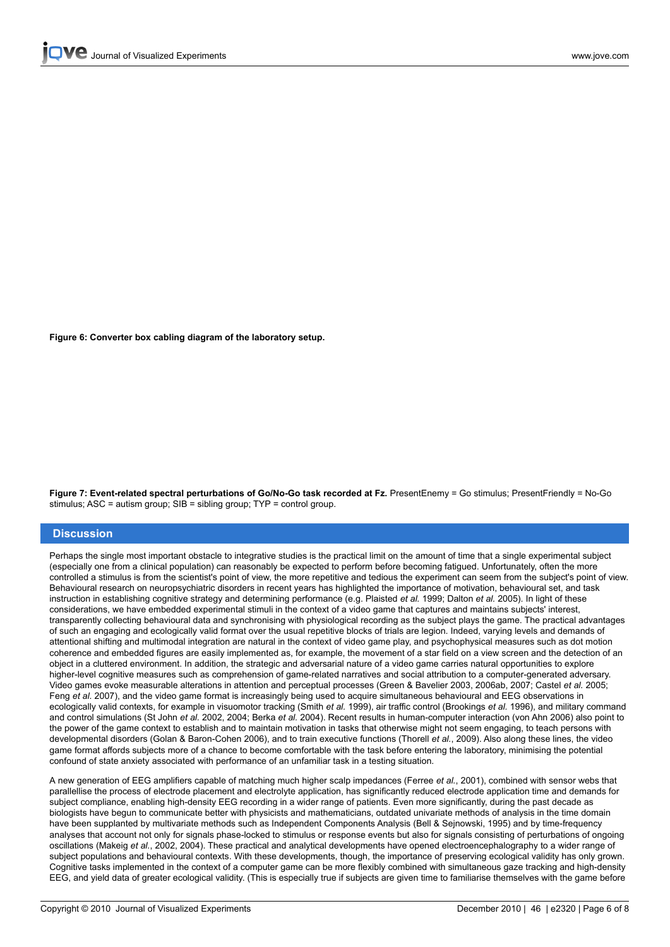

**Figure 6: Converter box cabling diagram of the laboratory setup.**



**Figure 7: Event-related spectral perturbations of Go/No-Go task recorded at Fz.** PresentEnemy = Go stimulus; PresentFriendly = No-Go stimulus; ASC = autism group; SIB = sibling group; TYP = control group.

#### **Discussion**

Perhaps the single most important obstacle to integrative studies is the practical limit on the amount of time that a single experimental subject (especially one from a clinical population) can reasonably be expected to perform before becoming fatigued. Unfortunately, often the more controlled a stimulus is from the scientist's point of view, the more repetitive and tedious the experiment can seem from the subject's point of view. Behavioural research on neuropsychiatric disorders in recent years has highlighted the importance of motivation, behavioural set, and task instruction in establishing cognitive strategy and determining performance (e.g. Plaisted *et al.* 1999; Dalton *et al.* 2005). In light of these considerations, we have embedded experimental stimuli in the context of a video game that captures and maintains subjects' interest, transparently collecting behavioural data and synchronising with physiological recording as the subject plays the game. The practical advantages of such an engaging and ecologically valid format over the usual repetitive blocks of trials are legion. Indeed, varying levels and demands of attentional shifting and multimodal integration are natural in the context of video game play, and psychophysical measures such as dot motion coherence and embedded figures are easily implemented as, for example, the movement of a star field on a view screen and the detection of an object in a cluttered environment. In addition, the strategic and adversarial nature of a video game carries natural opportunities to explore higher-level cognitive measures such as comprehension of game-related narratives and social attribution to a computer-generated adversary. Video games evoke measurable alterations in attention and perceptual processes (Green & Bavelier 2003, 2006ab, 2007; Castel *et al.* 2005; Feng *et al.* 2007), and the video game format is increasingly being used to acquire simultaneous behavioural and EEG observations in ecologically valid contexts, for example in visuomotor tracking (Smith *et al.* 1999), air traffic control (Brookings *et al.* 1996), and military command and control simulations (St John *et al.* 2002, 2004; Berka *et al.* 2004). Recent results in human-computer interaction (von Ahn 2006) also point to the power of the game context to establish and to maintain motivation in tasks that otherwise might not seem engaging, to teach persons with developmental disorders (Golan & Baron-Cohen 2006), and to train executive functions (Thorell *et al.*, 2009). Also along these lines, the video game format affords subjects more of a chance to become comfortable with the task before entering the laboratory, minimising the potential confound of state anxiety associated with performance of an unfamiliar task in a testing situation.

A new generation of EEG amplifiers capable of matching much higher scalp impedances (Ferree *et al.*, 2001), combined with sensor webs that parallellise the process of electrode placement and electrolyte application, has significantly reduced electrode application time and demands for subject compliance, enabling high-density EEG recording in a wider range of patients. Even more significantly, during the past decade as biologists have begun to communicate better with physicists and mathematicians, outdated univariate methods of analysis in the time domain have been supplanted by multivariate methods such as Independent Components Analysis (Bell & Sejnowski, 1995) and by time-frequency analyses that account not only for signals phase-locked to stimulus or response events but also for signals consisting of perturbations of ongoing oscillations (Makeig *et al.*, 2002, 2004). These practical and analytical developments have opened electroencephalography to a wider range of subject populations and behavioural contexts. With these developments, though, the importance of preserving ecological validity has only grown. Cognitive tasks implemented in the context of a computer game can be more flexibly combined with simultaneous gaze tracking and high-density EEG, and yield data of greater ecological validity. (This is especially true if subjects are given time to familiarise themselves with the game before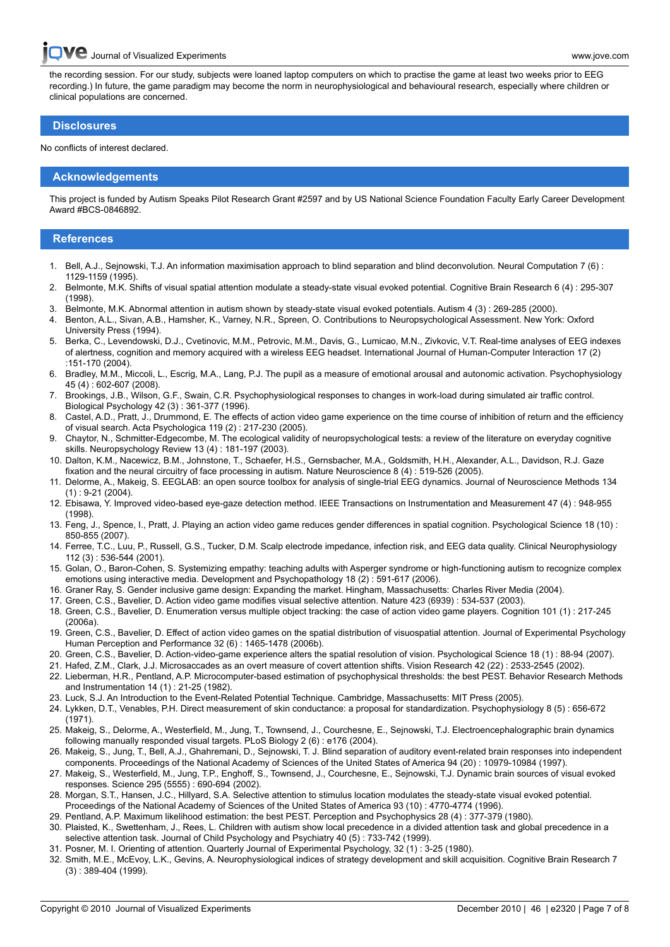[the record](http://www.jove.com)ing session. For our study, subjects were loaned laptop computers on which to practise the game at least two weeks prior to EEG recording.) In future, the game paradigm may become the norm in neurophysiological and behavioural research, especially where children or clinical populations are concerned.

#### **Disclosures**

No conflicts of interest declared.

#### **Acknowledgements**

This project is funded by Autism Speaks Pilot Research Grant #2597 and by US National Science Foundation Faculty Early Career Development Award #BCS-0846892.

#### **References**

- 1. Bell, A.J., Sejnowski, T.J. An information maximisation approach to blind separation and blind deconvolution. Neural Computation 7 (6) : 1129-1159 (1995).
- 2. Belmonte, M.K. Shifts of visual spatial attention modulate a steady-state visual evoked potential. Cognitive Brain Research 6 (4) : 295-307 (1998).
- 3. Belmonte, M.K. Abnormal attention in autism shown by steady-state visual evoked potentials. Autism 4 (3) : 269-285 (2000).
- 4. Benton, A.L., Sivan, A.B., Hamsher, K., Varney, N.R., Spreen, O. Contributions to Neuropsychological Assessment. New York: Oxford University Press (1994).
- 5. Berka, C., Levendowski, D.J., Cvetinovic, M.M., Petrovic, M.M., Davis, G., Lumicao, M.N., Zivkovic, V.T. Real-time analyses of EEG indexes of alertness, cognition and memory acquired with a wireless EEG headset. International Journal of Human-Computer Interaction 17 (2) :151-170 (2004).
- 6. Bradley, M.M., Miccoli, L., Escrig, M.A., Lang, P.J. The pupil as a measure of emotional arousal and autonomic activation. Psychophysiology 45 (4) : 602-607 (2008).
- 7. Brookings, J.B., Wilson, G.F., Swain, C.R. Psychophysiological responses to changes in work-load during simulated air traffic control. Biological Psychology 42 (3) : 361-377 (1996).
- 8. Castel, A.D., Pratt, J., Drummond, E. The effects of action video game experience on the time course of inhibition of return and the efficiency of visual search. Acta Psychologica 119 (2) : 217-230 (2005).
- 9. Chaytor, N., Schmitter-Edgecombe, M. The ecological validity of neuropsychological tests: a review of the literature on everyday cognitive skills. Neuropsychology Review 13 (4) : 181-197 (2003).
- 10. Dalton, K.M., Nacewicz, B.M., Johnstone, T., Schaefer, H.S., Gernsbacher, M.A., Goldsmith, H.H., Alexander, A.L., Davidson, R.J. Gaze fixation and the neural circuitry of face processing in autism. Nature Neuroscience 8 (4) : 519-526 (2005).
- 11. Delorme, A., Makeig, S. EEGLAB: an open source toolbox for analysis of single-trial EEG dynamics. Journal of Neuroscience Methods 134  $(1)$ : 9-21 (2004).
- 12. Ebisawa, Y. Improved video-based eye-gaze detection method. IEEE Transactions on Instrumentation and Measurement 47 (4) : 948-955 (1998).
- 13. Feng, J., Spence, I., Pratt, J. Playing an action video game reduces gender differences in spatial cognition. Psychological Science 18 (10) : 850-855 (2007).
- 14. Ferree, T.C., Luu, P., Russell, G.S., Tucker, D.M. Scalp electrode impedance, infection risk, and EEG data quality. Clinical Neurophysiology 112 (3) : 536-544 (2001).
- 15. Golan, O., Baron-Cohen, S. Systemizing empathy: teaching adults with Asperger syndrome or high-functioning autism to recognize complex emotions using interactive media. Development and Psychopathology 18 (2) : 591-617 (2006).
- 16. Graner Ray, S. Gender inclusive game design: Expanding the market. Hingham, Massachusetts: Charles River Media (2004).
- 17. Green, C.S., Bavelier, D. Action video game modifies visual selective attention. Nature 423 (6939) : 534-537 (2003).
- 18. Green, C.S., Bavelier, D. Enumeration versus multiple object tracking: the case of action video game players. Cognition 101 (1) : 217-245 (2006a).
- 19. Green, C.S., Bavelier, D. Effect of action video games on the spatial distribution of visuospatial attention. Journal of Experimental Psychology Human Perception and Performance 32 (6) : 1465-1478 (2006b).
- 20. Green, C.S., Bavelier, D. Action-video-game experience alters the spatial resolution of vision. Psychological Science 18 (1) : 88-94 (2007).
- 21. Hafed, Z.M., Clark, J.J. Microsaccades as an overt measure of covert attention shifts. Vision Research 42 (22) : 2533-2545 (2002).
- 22. Lieberman, H.R., Pentland, A.P. Microcomputer-based estimation of psychophysical thresholds: the best PEST. Behavior Research Methods and Instrumentation 14 (1) : 21-25 (1982).
- 23. Luck, S.J. An Introduction to the Event-Related Potential Technique. Cambridge, Massachusetts: MIT Press (2005).
- 24. Lykken, D.T., Venables, P.H. Direct measurement of skin conductance: a proposal for standardization. Psychophysiology 8 (5) : 656-672 (1971).
- 25. Makeig, S., Delorme, A., Westerfield, M., Jung, T., Townsend, J., Courchesne, E., Sejnowski, T.J. Electroencephalographic brain dynamics following manually responded visual targets. PLoS Biology 2 (6) : e176 (2004).
- 26. Makeig, S., Jung, T., Bell, A.J., Ghahremani, D., Sejnowski, T. J. Blind separation of auditory event-related brain responses into independent components. Proceedings of the National Academy of Sciences of the United States of America 94 (20) : 10979-10984 (1997).
- 27. Makeig, S., Westerfield, M., Jung, T.P., Enghoff, S., Townsend, J., Courchesne, E., Sejnowski, T.J. Dynamic brain sources of visual evoked responses. Science 295 (5555) : 690-694 (2002).
- 28. Morgan, S.T., Hansen, J.C., Hillyard, S.A. Selective attention to stimulus location modulates the steady-state visual evoked potential. Proceedings of the National Academy of Sciences of the United States of America 93 (10) : 4770-4774 (1996).
- 29. Pentland, A.P. Maximum likelihood estimation: the best PEST. Perception and Psychophysics 28 (4) : 377-379 (1980).
- 30. Plaisted, K., Swettenham, J., Rees, L. Children with autism show local precedence in a divided attention task and global precedence in a selective attention task. Journal of Child Psychology and Psychiatry 40 (5) : 733-742 (1999).
- 31. Posner, M. I. Orienting of attention. Quarterly Journal of Experimental Psychology, 32 (1) : 3-25 (1980).
- 32. Smith, M.E., McEvoy, L.K., Gevins, A. Neurophysiological indices of strategy development and skill acquisition. Cognitive Brain Research 7 (3) : 389-404 (1999).